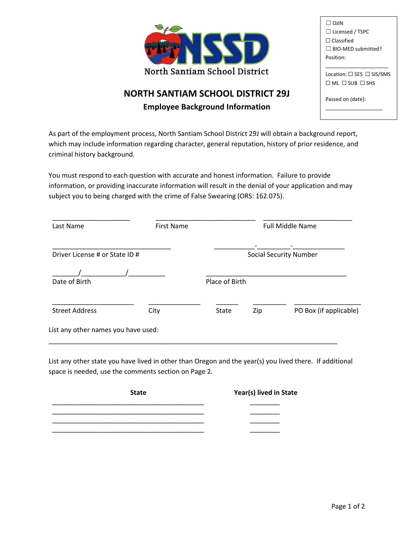

| $\Box$ OIIN                               |
|-------------------------------------------|
| $\Box$ Licensed / TSPC                    |
| $\Box$ Classified                         |
| $\Box$ BIO-MED submitted?                 |
| Position:                                 |
|                                           |
| Location: $\square$ SES $\square$ SIS/SMS |
| $\Box$ ML $\Box$ SUB $\Box$ SHS           |
|                                           |
| Passed on (date):                         |
|                                           |

## **NORTH SANTIAM SCHOOL DISTRICT 29J**

**Employee Background Information**

As part of the employment process, North Santiam School District 29J will obtain a background report, which may include information regarding character, general reputation, history of prior residence, and criminal history background.

You must respond to each question with accurate and honest information. Failure to provide information, or providing inaccurate information will result in the denial of your application and may subject you to being charged with the crime of False Swearing (ORS: 162.075).

| Last Name                           | <b>First Name</b> |                |     | <b>Full Middle Name</b>       |
|-------------------------------------|-------------------|----------------|-----|-------------------------------|
| Driver License # or State ID #      |                   |                |     | <b>Social Security Number</b> |
| Date of Birth                       |                   | Place of Birth |     |                               |
| <b>Street Address</b>               | City              | <b>State</b>   | Zip | PO Box (if applicable)        |
| List any other names you have used: |                   |                |     |                               |

List any other state you have lived in other than Oregon and the year(s) you lived there. If additional space is needed, use the comments section on Page 2.

| <b>State</b> | Year(s) lived in State |
|--------------|------------------------|
|              |                        |
|              |                        |
|              |                        |
|              |                        |